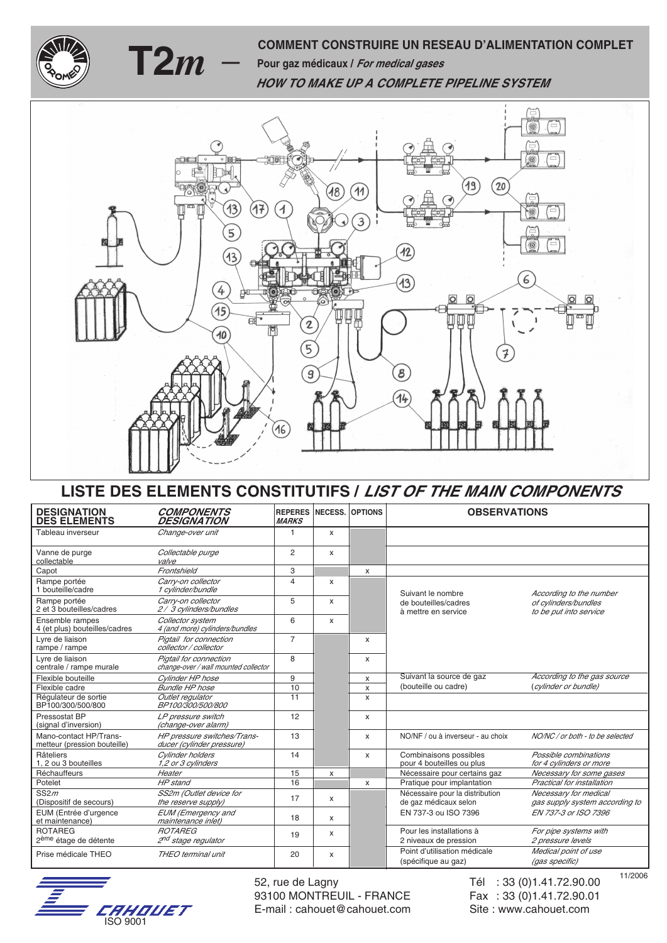

## **COMMENT CONSTRUIRE UN RESEAU D'ALIMENTATION COMPLET**<br> **T2***m* — Pour gaz médicaux / *For medical gases* **HOW TO MAKE UP A COMPLETE PIPELINE SYSTEM**



## **LISTE DES ELEMENTS CONSTITUTIFS / LIST OF THE MAIN COMPONENTS**

| <b>DESIGNATION</b><br><b>DES ELEMENTS</b>              | <b>COMPONENTS</b><br><b>DESIGNATION</b>                        | <b>REPERES</b><br><b>MARKS</b> | <b>NECESS.</b> | <b>OPTIONS</b> | <b>OBSERVATIONS</b>                                      |                                                         |  |  |
|--------------------------------------------------------|----------------------------------------------------------------|--------------------------------|----------------|----------------|----------------------------------------------------------|---------------------------------------------------------|--|--|
| Tableau inverseur                                      | Change-over unit                                               | 1                              | x              |                |                                                          |                                                         |  |  |
| Vanne de purge<br>collectable                          | Collectable purge<br>valve                                     | $\overline{c}$                 | X              |                |                                                          |                                                         |  |  |
| Capot                                                  | Frontshield                                                    | 3                              |                | X              |                                                          |                                                         |  |  |
| Rampe portée<br>1 bouteille/cadre                      | Carry-on collector<br>1 cylinder/bundle                        | $\overline{4}$                 | X              |                | Suivant le nombre                                        | According to the number                                 |  |  |
| Rampe portée<br>2 et 3 bouteilles/cadres               | Carry-on collector<br>2/3 cylinders/bundles                    | 5                              | X              |                | de bouteilles/cadres<br>à mettre en service              | of cylinders/bundles<br>to be put into service          |  |  |
| Ensemble rampes<br>4 (et plus) bouteilles/cadres       | Collector system<br>4 (and more) cylinders/bundles             | 6                              | X              |                |                                                          |                                                         |  |  |
| Lyre de liaison<br>rampe / rampe                       | Pigtail for connection<br>collector / collector                | $\overline{7}$                 |                | X              |                                                          |                                                         |  |  |
| Lyre de liaison<br>centrale / rampe murale             | Pigtail for connection<br>change-over / wall mounted collector | 8                              |                | $\mathsf{x}$   |                                                          |                                                         |  |  |
| Flexible bouteille                                     | Cylinder HP hose                                               | 9                              |                | X              | Suivant la source de gaz                                 | According to the gas source                             |  |  |
| Flexible cadre                                         | Bundle HP hose                                                 | 10                             |                | X              | (bouteille ou cadre)                                     | (cylinder or bundle)                                    |  |  |
| Régulateur de sortie<br>BP100/300/500/800              | Outlet regulator<br>BP100/300/500/800                          | 11                             |                | $\mathsf{x}$   |                                                          |                                                         |  |  |
| Pressostat BP<br>(signal d'inversion)                  | LP pressure switch<br>(change-over alarm)                      | 12                             |                | X              |                                                          |                                                         |  |  |
| Mano-contact HP/Trans-<br>metteur (pression bouteille) | HP pressure switches/Trans-<br>ducer (cylinder pressure)       | 13                             |                | x              | NO/NF / ou à inverseur - au choix                        | NO/NC / or both - to be selected                        |  |  |
| Râteliers<br>1. 2 ou 3 bouteilles                      | Cylinder holders<br>1,2 or 3 cylinders                         | 14                             |                | X              | Combinaisons possibles<br>pour 4 bouteilles ou plus      | Possible combinations<br>for 4 cylinders or more        |  |  |
| Réchauffeurs                                           | Heater                                                         | 15                             | x              |                | Nécessaire pour certains gaz                             | Necessary for some gases                                |  |  |
| Potelet                                                | HP stand                                                       | 16                             |                | X              | Pratique pour implantation                               | Practical for installation                              |  |  |
| SS2m<br>(Dispositif de secours)                        | SS2m (Outlet device for<br>the reserve supply)                 | 17                             | X              |                | Nécessaire pour la distribution<br>de gaz médicaux selon | Necessary for medical<br>gas supply system according to |  |  |
| EUM (Entrée d'urgence<br>et maintenance)               | <b>EUM</b> (Emergency and<br>maintenance inlet)                | 18                             | X              |                | EN 737-3 ou ISO 7396                                     | EN 737-3 or ISO 7396                                    |  |  |
| <b>ROTAREG</b><br>2 <sup>ème</sup> étage de détente    | <b>ROTAREG</b><br>2 <sup>nd</sup> stage regulator              | 19                             | X              |                | Pour les installations à<br>2 niveaux de pression        | For pipe systems with<br>2 pressure levels              |  |  |
| Prise médicale THEO                                    | THEO terminal unit                                             | 20                             | X              |                | Point d'utilisation médicale<br>(spécifique au gaz)      | Medical point of use<br>(gas specific)                  |  |  |



52, rue de Lagny Tél : 33 (0)1.41.72.90.00 93100 MONTREUIL - FRANCE Fax : 33 (0)1.41.72.90.01 E-mail: cahouet@cahouet.com Site : www.cahouet.com

11/2006